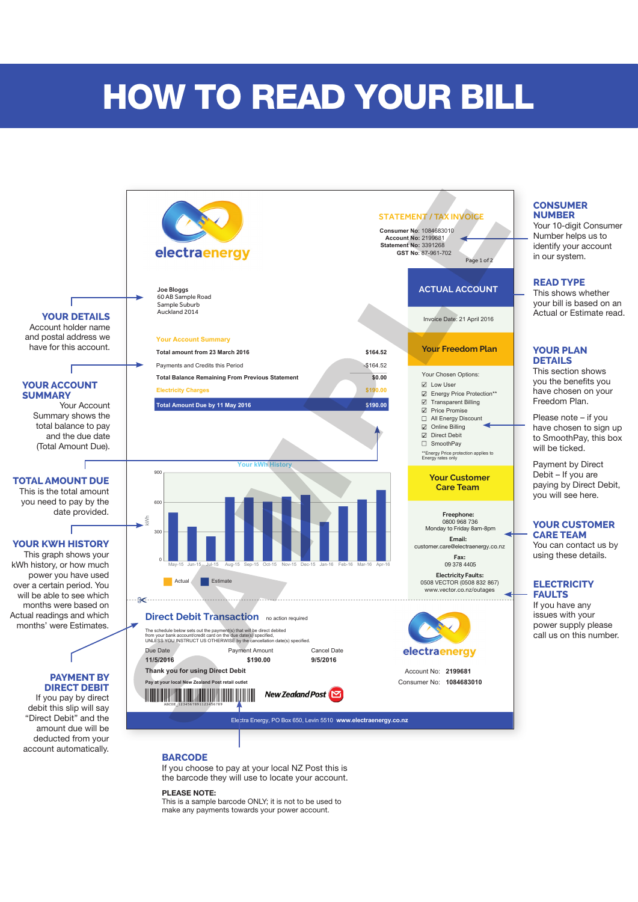# HOW TO READ YOUR BILL



If you choose to pay at your local NZ Post this is the barcode they will use to locate your account.

#### **PLEASE NOTE:**

This is a sample barcode ONLY; it is not to be used to make any payments towards your power account.